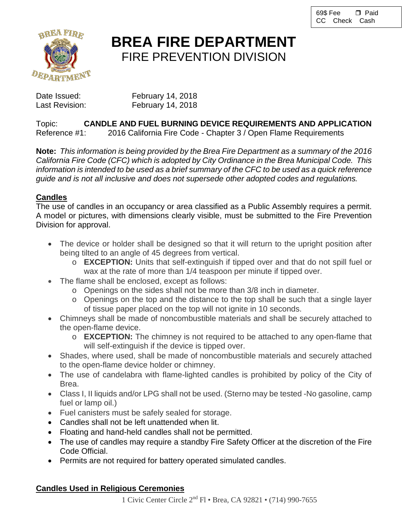

# **BREA FIRE DEPARTMENT** FIRE PREVENTION DIVISION

Date Issued: February 14, 2018 Last Revision: February 14, 2018

Topic: **CANDLE AND FUEL BURNING DEVICE REQUIREMENTS AND APPLICATION** 2016 California Fire Code - Chapter 3 / Open Flame Requirements

**Note:** *This information is being provided by the Brea Fire Department as a summary of the 2016 California Fire Code (CFC) which is adopted by City Ordinance in the Brea Municipal Code. This information is intended to be used as a brief summary of the CFC to be used as a quick reference guide and is not all inclusive and does not supersede other adopted codes and regulations.*

## **Candles**

The use of candles in an occupancy or area classified as a Public Assembly requires a permit. A model or pictures, with dimensions clearly visible, must be submitted to the Fire Prevention Division for approval.

- The device or holder shall be designed so that it will return to the upright position after being tilted to an angle of 45 degrees from vertical.
	- o **EXCEPTION:** Units that self-extinguish if tipped over and that do not spill fuel or wax at the rate of more than 1/4 teaspoon per minute if tipped over.
- The flame shall be enclosed, except as follows:
	- o Openings on the sides shall not be more than 3/8 inch in diameter.
	- o Openings on the top and the distance to the top shall be such that a single layer of tissue paper placed on the top will not ignite in 10 seconds.
- Chimneys shall be made of noncombustible materials and shall be securely attached to the open-flame device.
	- o **EXCEPTION:** The chimney is not required to be attached to any open-flame that will self-extinguish if the device is tipped over.
- Shades, where used, shall be made of noncombustible materials and securely attached to the open-flame device holder or chimney.
- The use of candelabra with flame-lighted candles is prohibited by policy of the City of Brea.
- Class I, II liquids and/or LPG shall not be used. (Sterno may be tested -No gasoline, camp fuel or lamp oil.)
- Fuel canisters must be safely sealed for storage.
- Candles shall not be left unattended when lit.
- Floating and hand-held candles shall not be permitted.
- The use of candles may require a standby Fire Safety Officer at the discretion of the Fire Code Official.
- Permits are not required for battery operated simulated candles.

## **Candles Used in Religious Ceremonies**